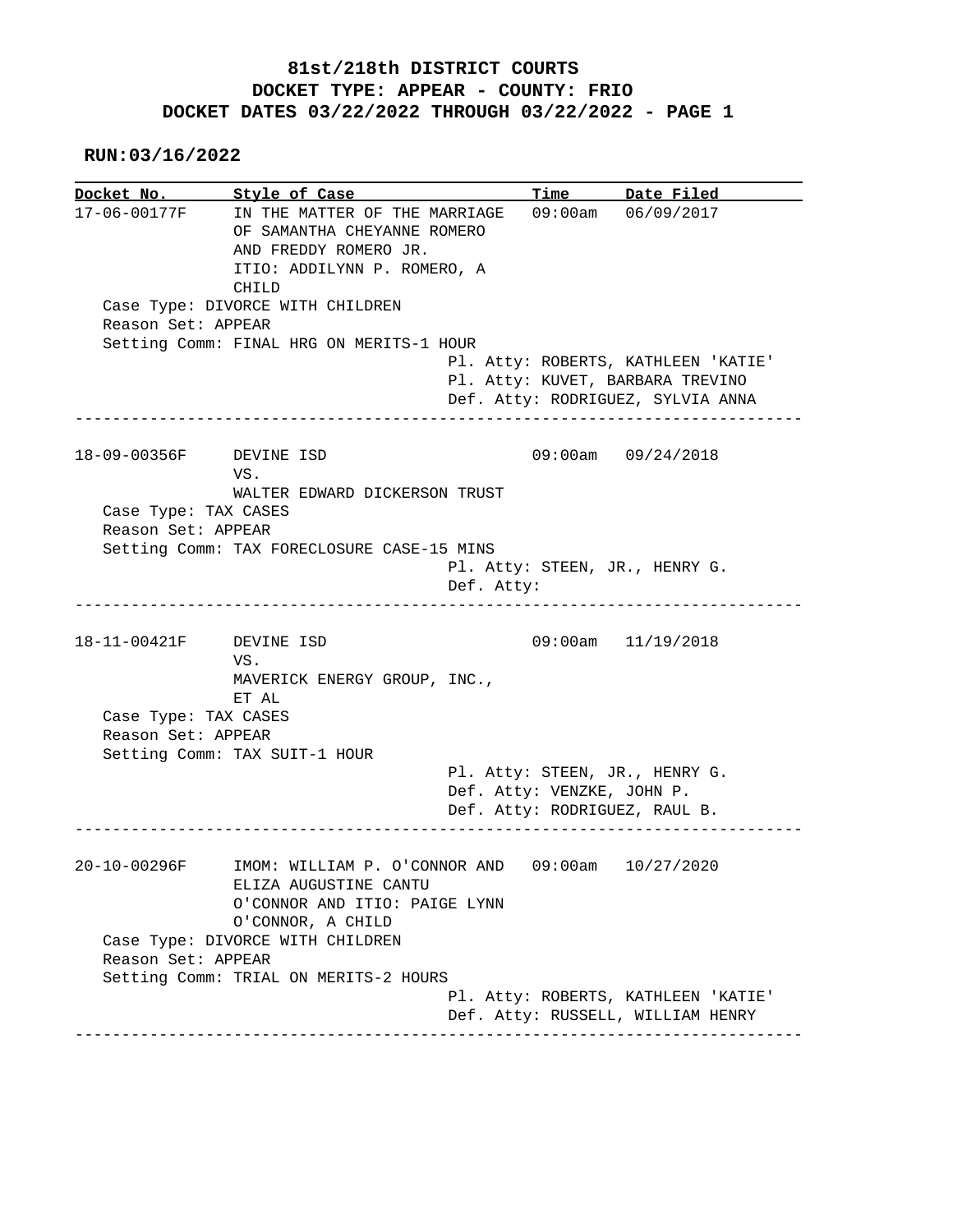## **81st/218th DISTRICT COURTS DOCKET TYPE: APPEAR - COUNTY: FRIO DOCKET DATES 03/22/2022 THROUGH 03/22/2022 - PAGE 1**

 **RUN:03/16/2022**

**Docket No. Style of Case Time Date Filed**  17-06-00177F IN THE MATTER OF THE MARRIAGE 09:00am 06/09/2017 OF SAMANTHA CHEYANNE ROMERO AND FREDDY ROMERO JR. ITIO: ADDILYNN P. ROMERO, A CHILD Case Type: DIVORCE WITH CHILDREN Reason Set: APPEAR Setting Comm: FINAL HRG ON MERITS-1 HOUR Pl. Atty: ROBERTS, KATHLEEN 'KATIE' Pl. Atty: KUVET, BARBARA TREVINO Def. Atty: RODRIGUEZ, SYLVIA ANNA ------------------------------------------------------------------------------ 18-09-00356F DEVINE ISD 09:00am 09/24/2018 VS. WALTER EDWARD DICKERSON TRUST Case Type: TAX CASES Reason Set: APPEAR Setting Comm: TAX FORECLOSURE CASE-15 MINS Pl. Atty: STEEN, JR., HENRY G. Def. Atty: ------------------------------------------------------------------------------ 18-11-00421F DEVINE ISD 09:00am 11/19/2018 VS. MAVERICK ENERGY GROUP, INC., ET AL Case Type: TAX CASES Reason Set: APPEAR Setting Comm: TAX SUIT-1 HOUR Pl. Atty: STEEN, JR., HENRY G. Def. Atty: VENZKE, JOHN P. Def. Atty: RODRIGUEZ, RAUL B. ------------------------------------------------------------------------------ 20-10-00296F IMOM: WILLIAM P. O'CONNOR AND 09:00am 10/27/2020 ELIZA AUGUSTINE CANTU O'CONNOR AND ITIO: PAIGE LYNN O'CONNOR, A CHILD Case Type: DIVORCE WITH CHILDREN Reason Set: APPEAR Setting Comm: TRIAL ON MERITS-2 HOURS Pl. Atty: ROBERTS, KATHLEEN 'KATIE' Def. Atty: RUSSELL, WILLIAM HENRY ------------------------------------------------------------------------------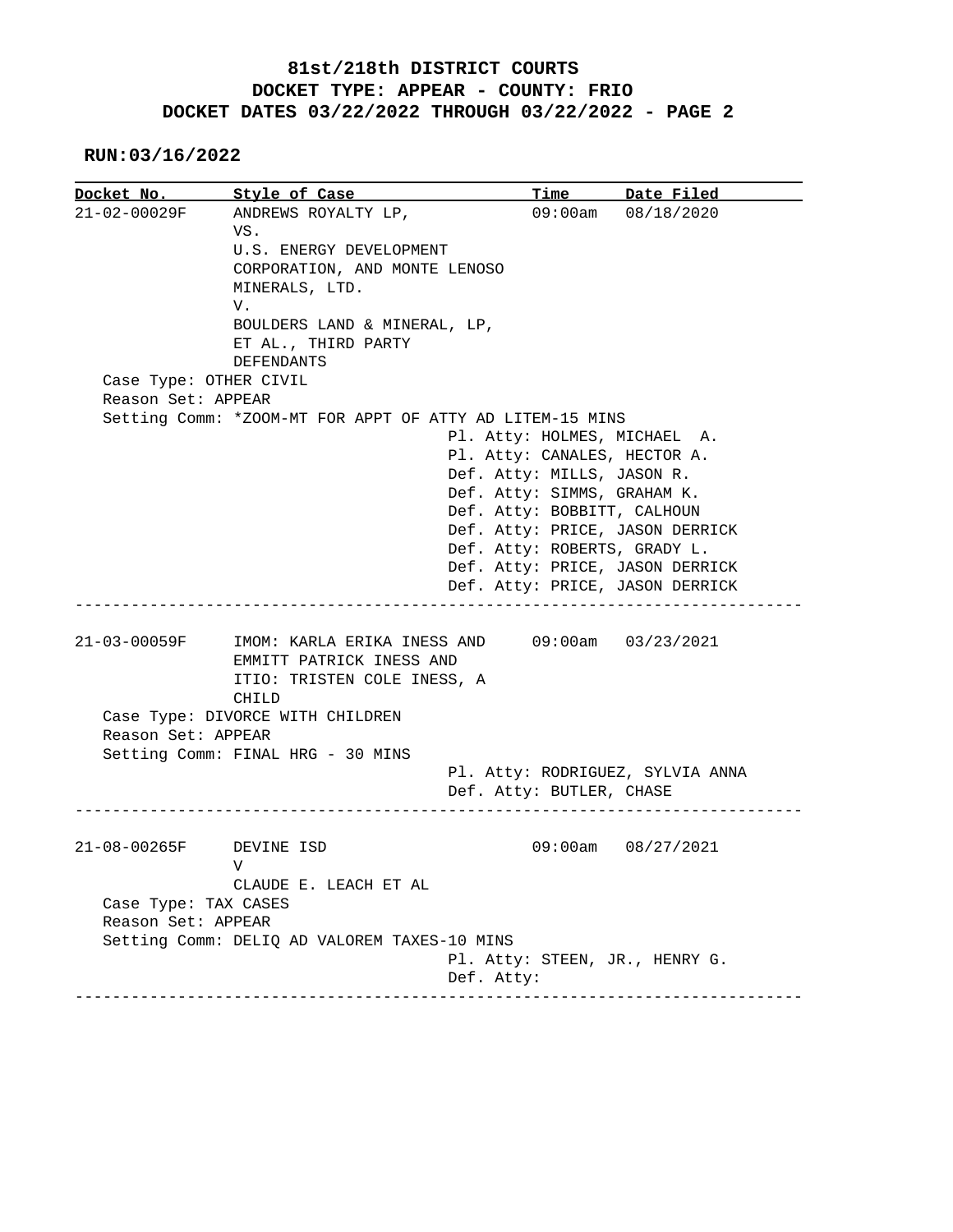## **81st/218th DISTRICT COURTS DOCKET TYPE: APPEAR - COUNTY: FRIO DOCKET DATES 03/22/2022 THROUGH 03/22/2022 - PAGE 2**

 **RUN:03/16/2022**

| Docket No.             | Style of Case                                                                                   | <b>Time</b>                    | Date Filed                       |  |  |
|------------------------|-------------------------------------------------------------------------------------------------|--------------------------------|----------------------------------|--|--|
| 21-02-00029F           | ANDREWS ROYALTY LP,                                                                             |                                | 09:00am 08/18/2020               |  |  |
|                        | VS.                                                                                             |                                |                                  |  |  |
|                        | U.S. ENERGY DEVELOPMENT                                                                         |                                |                                  |  |  |
|                        | CORPORATION, AND MONTE LENOSO                                                                   |                                |                                  |  |  |
|                        | MINERALS, LTD.                                                                                  |                                |                                  |  |  |
|                        | V.                                                                                              |                                |                                  |  |  |
|                        | BOULDERS LAND & MINERAL, LP,                                                                    |                                |                                  |  |  |
|                        | ET AL., THIRD PARTY                                                                             |                                |                                  |  |  |
|                        | <b>DEFENDANTS</b>                                                                               |                                |                                  |  |  |
| Case Type: OTHER CIVIL |                                                                                                 |                                |                                  |  |  |
| Reason Set: APPEAR     |                                                                                                 |                                |                                  |  |  |
|                        | Setting Comm: *ZOOM-MT FOR APPT OF ATTY AD LITEM-15 MINS                                        |                                |                                  |  |  |
|                        |                                                                                                 | Pl. Atty: HOLMES, MICHAEL A.   |                                  |  |  |
|                        |                                                                                                 | Pl. Atty: CANALES, HECTOR A.   |                                  |  |  |
|                        |                                                                                                 | Def. Atty: MILLS, JASON R.     |                                  |  |  |
|                        |                                                                                                 | Def. Atty: SIMMS, GRAHAM K.    |                                  |  |  |
|                        |                                                                                                 | Def. Atty: BOBBITT, CALHOUN    |                                  |  |  |
|                        |                                                                                                 |                                | Def. Atty: PRICE, JASON DERRICK  |  |  |
|                        |                                                                                                 | Def. Atty: ROBERTS, GRADY L.   |                                  |  |  |
|                        |                                                                                                 |                                | Def. Atty: PRICE, JASON DERRICK  |  |  |
|                        |                                                                                                 |                                |                                  |  |  |
|                        |                                                                                                 |                                | Def. Atty: PRICE, JASON DERRICK  |  |  |
| 21-03-00059F           | IMOM: KARLA ERIKA INESS AND<br>EMMITT PATRICK INESS AND<br>ITIO: TRISTEN COLE INESS, A<br>CHILD |                                | 09:00am 03/23/2021               |  |  |
|                        | Case Type: DIVORCE WITH CHILDREN                                                                |                                |                                  |  |  |
| Reason Set: APPEAR     |                                                                                                 |                                |                                  |  |  |
|                        | Setting Comm: FINAL HRG - 30 MINS                                                               |                                |                                  |  |  |
|                        |                                                                                                 |                                | Pl. Atty: RODRIGUEZ, SYLVIA ANNA |  |  |
|                        |                                                                                                 | Def. Atty: BUTLER, CHASE       |                                  |  |  |
|                        |                                                                                                 |                                |                                  |  |  |
| 21-08-00265F           | DEVINE ISD                                                                                      |                                | 09:00am 08/27/2021               |  |  |
|                        | V                                                                                               |                                |                                  |  |  |
|                        | CLAUDE E. LEACH ET AL                                                                           |                                |                                  |  |  |
| Case Type: TAX CASES   |                                                                                                 |                                |                                  |  |  |
| Reason Set: APPEAR     |                                                                                                 |                                |                                  |  |  |
|                        | Setting Comm: DELIQ AD VALOREM TAXES-10 MINS                                                    |                                |                                  |  |  |
|                        |                                                                                                 | Pl. Atty: STEEN, JR., HENRY G. |                                  |  |  |